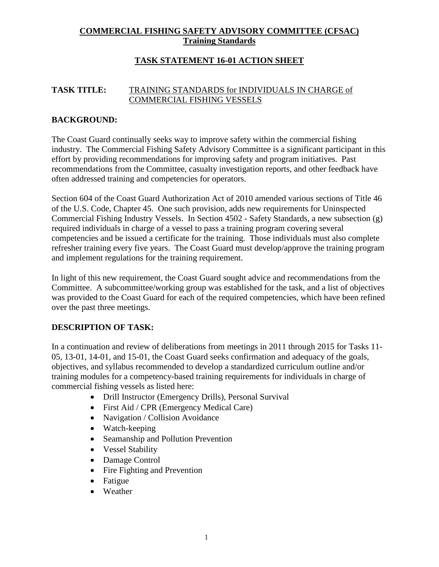# **COMMERCIAL FISHING SAFETY ADVISORY COMMITTEE (CFSAC) Training Standards**

# **TASK STATEMENT 16-01 ACTION SHEET**

#### **TASK TITLE:** TRAINING STANDARDS for INDIVIDUALS IN CHARGE of COMMERCIAL FISHING VESSELS

## **BACKGROUND:**

The Coast Guard continually seeks way to improve safety within the commercial fishing industry. The Commercial Fishing Safety Advisory Committee is a significant participant in this effort by providing recommendations for improving safety and program initiatives. Past recommendations from the Committee, casualty investigation reports, and other feedback have often addressed training and competencies for operators.

Section 604 of the Coast Guard Authorization Act of 2010 amended various sections of Title 46 of the U.S. Code, Chapter 45. One such provision, adds new requirements for Uninspected Commercial Fishing Industry Vessels. In Section 4502 - Safety Standards, a new subsection (g) required individuals in charge of a vessel to pass a training program covering several competencies and be issued a certificate for the training. Those individuals must also complete refresher training every five years. The Coast Guard must develop/approve the training program and implement regulations for the training requirement.

In light of this new requirement, the Coast Guard sought advice and recommendations from the Committee. A subcommittee/working group was established for the task, and a list of objectives was provided to the Coast Guard for each of the required competencies, which have been refined over the past three meetings.

## **DESCRIPTION OF TASK:**

In a continuation and review of deliberations from meetings in 2011 through 2015 for Tasks 11- 05, 13-01, 14-01, and 15-01, the Coast Guard seeks confirmation and adequacy of the goals, objectives, and syllabus recommended to develop a standardized curriculum outline and/or training modules for a competency-based training requirements for individuals in charge of commercial fishing vessels as listed here:

- Drill Instructor (Emergency Drills), Personal Survival
- First Aid / CPR (Emergency Medical Care)
- Navigation / Collision Avoidance
- Watch-keeping
- Seamanship and Pollution Prevention
- Vessel Stability
- Damage Control
- Fire Fighting and Prevention
- Fatigue
- Weather